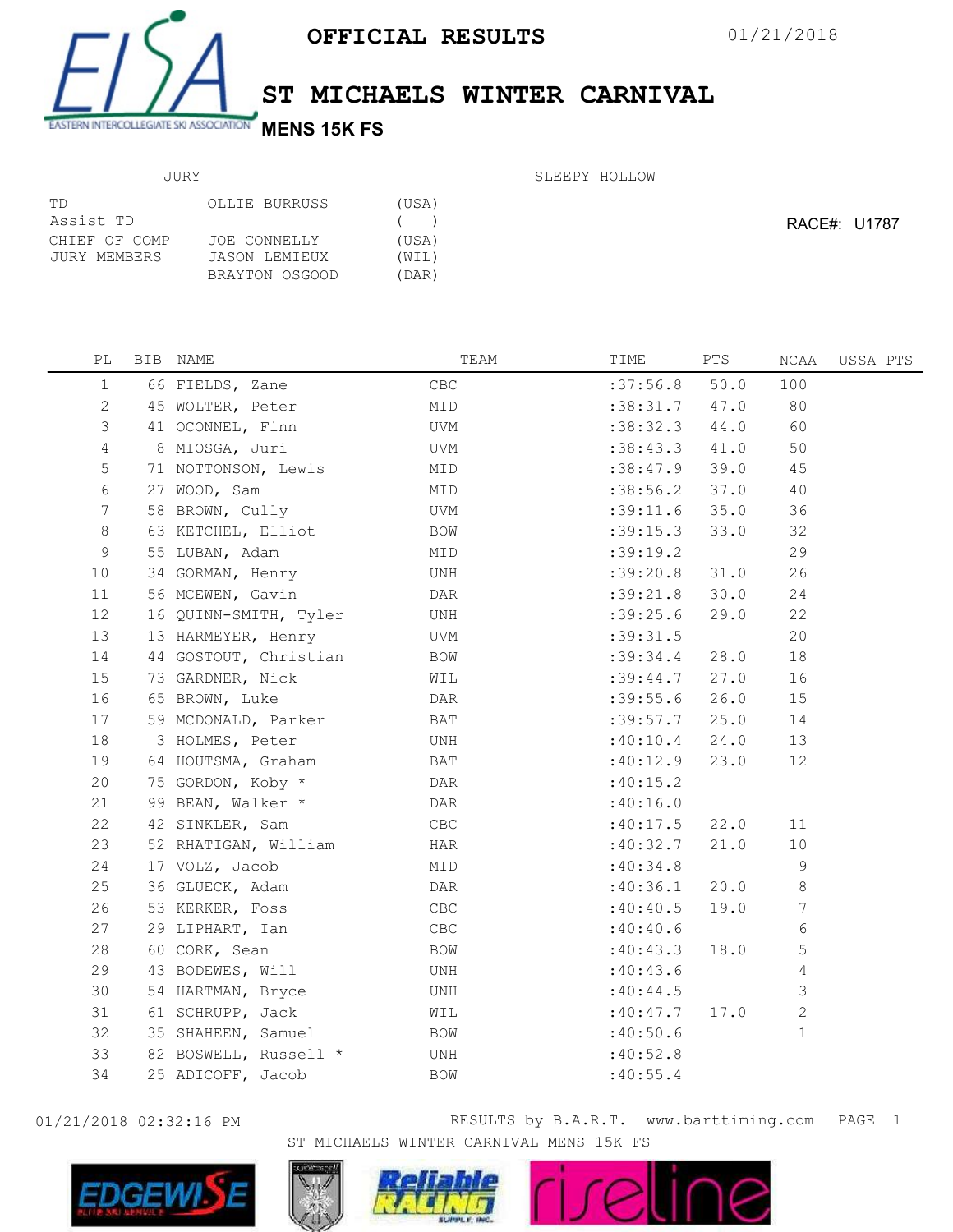

## ST MICHAELS WINTER CARNIVAL

## JURY

| SLEEPY HOLLOW |
|---------------|
|               |

| ТD            | OLLIE BURRUSS  | (USA) |
|---------------|----------------|-------|
| Assist TD     |                | (     |
| CHIEF OF COMP | JOE CONNELLY   | (USA) |
| JURY MEMBERS  | JASON LEMIEUX  | (WIL) |
|               | BRAYTON OSGOOD | (DAR) |

RACE#: U1787

| PL           | BIB NAME              | TEAM           | TIME       | PTS  | NCAA         | USSA PTS |
|--------------|-----------------------|----------------|------------|------|--------------|----------|
| $\mathbf{1}$ | 66 FIELDS, Zane       | $\mathsf{CBC}$ | :37:56.8   | 50.0 | 100          |          |
| 2            | 45 WOLTER, Peter      | MID            | : 38:31.7  | 47.0 | 80           |          |
| 3            | 41 OCONNEL, Finn      | UVM            | :38:32.3   | 44.0 | 60           |          |
| 4            | 8 MIOSGA, Juri        | UVM            | :38:43.3   | 41.0 | 50           |          |
| 5            | 71 NOTTONSON, Lewis   | MID            | :38:47.9   | 39.0 | 45           |          |
| 6            | 27 WOOD, Sam          | MID            | :38:56.2   | 37.0 | 40           |          |
| 7            | 58 BROWN, Cully       | UVM            | :39:11.6   | 35.0 | 36           |          |
| 8            | 63 KETCHEL, Elliot    | BOW            | :39:15.3   | 33.0 | 32           |          |
| 9            | 55 LUBAN, Adam        | MID            | :39:19.2   |      | 29           |          |
| 10           | 34 GORMAN, Henry      | UNH            | :39:20.8   | 31.0 | 26           |          |
| 11           | 56 MCEWEN, Gavin      | DAR            | :39:21.8   | 30.0 | 24           |          |
| 12           | 16 QUINN-SMITH, Tyler | UNH            | :39:25.6   | 29.0 | 22           |          |
| 13           | 13 HARMEYER, Henry    | UVM            | : 39: 31.5 |      | 20           |          |
| 14           | 44 GOSTOUT, Christian | BOW            | :39:34.4   | 28.0 | 18           |          |
| 15           | 73 GARDNER, Nick      | WIL            | :39:44.7   | 27.0 | 16           |          |
| 16           | 65 BROWN, Luke        | DAR            | :39:55.6   | 26.0 | 15           |          |
| 17           | 59 MCDONALD, Parker   | BAT            | :39:57.7   | 25.0 | 14           |          |
| 18           | 3 HOLMES, Peter       | UNH            | :40:10.4   | 24.0 | 13           |          |
| 19           | 64 HOUTSMA, Graham    | BAT            | :40:12.9   | 23.0 | 12           |          |
| 20           | 75 GORDON, Koby *     | DAR            | :40:15.2   |      |              |          |
| 21           | 99 BEAN, Walker *     | DAR            | :40:16.0   |      |              |          |
| 22           | 42 SINKLER, Sam       | CBC            | :40:17.5   | 22.0 | 11           |          |
| 23           | 52 RHATIGAN, William  | HAR            | :40:32.7   | 21.0 | 10           |          |
| 24           | 17 VOLZ, Jacob        | MID            | :40:34.8   |      | 9            |          |
| 25           | 36 GLUECK, Adam       | DAR            | :40:36.1   | 20.0 | 8            |          |
| 26           | 53 KERKER, Foss       | CBC            | :40:40.5   | 19.0 | 7            |          |
| 27           | 29 LIPHART, Ian       | $\mathsf{CBC}$ | :40:40.6   |      | 6            |          |
| 28           | 60 CORK, Sean         | BOW            | :40:43.3   | 18.0 | 5            |          |
| 29           | 43 BODEWES, Will      | UNH            | :40:43.6   |      | 4            |          |
| 30           | 54 HARTMAN, Bryce     | UNH            | :40:44.5   |      | 3            |          |
| 31           | 61 SCHRUPP, Jack      | WIL            | :40:47.7   | 17.0 | $\mathbf{2}$ |          |
| 32           | 35 SHAHEEN, Samuel    | BOW            | :40:50.6   |      | $\mathbf 1$  |          |
| 33           | 82 BOSWELL, Russell * | $_{\rm UNH}$   | :40:52.8   |      |              |          |
| 34           | 25 ADICOFF, Jacob     | BOW            | :40:55.4   |      |              |          |
|              |                       |                |            |      |              |          |



01/21/2018 02:32:16 PM **RESULTS** by B.A.R.T. www.barttiming.com PAGE 1 ST MICHAELS WINTER CARNIVAL MENS 15K FS

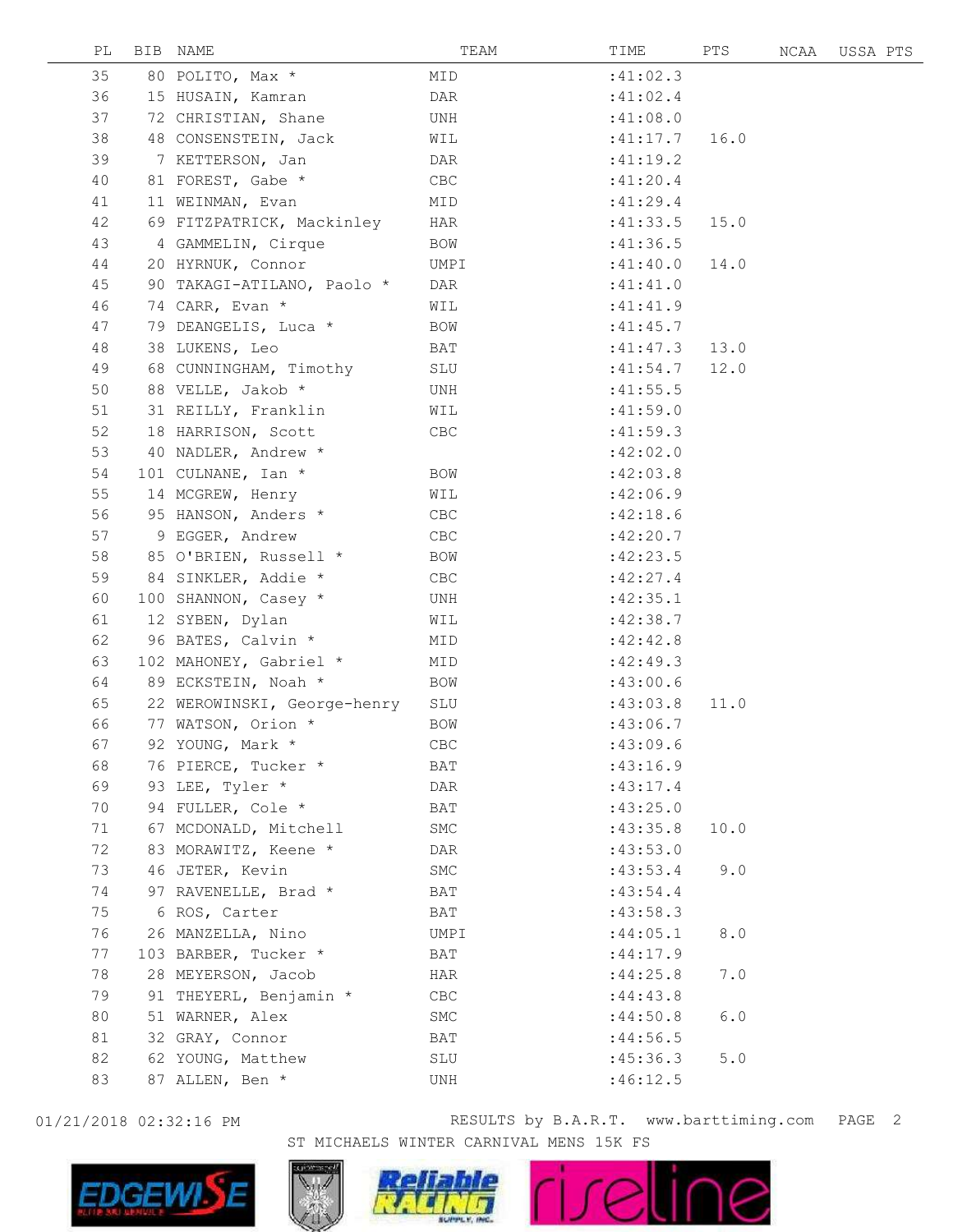| PL | BIB NAME                    | TEAM       | TIME      | PTS  | NCAA | USSA PTS |  |
|----|-----------------------------|------------|-----------|------|------|----------|--|
| 35 | 80 POLITO, Max *            | MID        | :41:02.3  |      |      |          |  |
| 36 | 15 HUSAIN, Kamran           | DAR        | :41:02.4  |      |      |          |  |
| 37 | 72 CHRISTIAN, Shane         | UNH        | :41:08.0  |      |      |          |  |
| 38 | 48 CONSENSTEIN, Jack        | WIL        | :41:17.7  | 16.0 |      |          |  |
| 39 | 7 KETTERSON, Jan            | DAR        | :41:19.2  |      |      |          |  |
| 40 | 81 FOREST, Gabe *           | CBC        | :41:20.4  |      |      |          |  |
| 41 | 11 WEINMAN, Evan            | MID        | :41:29.4  |      |      |          |  |
| 42 | 69 FITZPATRICK, Mackinley   | HAR        | :41:33.5  | 15.0 |      |          |  |
| 43 | 4 GAMMELIN, Cirque          | BOW        | :41:36.5  |      |      |          |  |
| 44 | 20 HYRNUK, Connor           | UMPI       | :41:40.0  | 14.0 |      |          |  |
| 45 | 90 TAKAGI-ATILANO, Paolo *  | DAR        | :41:41.0  |      |      |          |  |
| 46 | 74 CARR, Evan *             | WIL        | :41:41.9  |      |      |          |  |
| 47 | 79 DEANGELIS, Luca *        | BOW        | :41:45.7  |      |      |          |  |
| 48 | 38 LUKENS, Leo              | BAT        | :41:47.3  | 13.0 |      |          |  |
| 49 | 68 CUNNINGHAM, Timothy      | SLU        | :41:54.7  | 12.0 |      |          |  |
| 50 | 88 VELLE, Jakob *           | UNH        | :41:55.5  |      |      |          |  |
| 51 | 31 REILLY, Franklin         | WIL        | :41:59.0  |      |      |          |  |
| 52 | 18 HARRISON, Scott          | CBC        | :41:59.3  |      |      |          |  |
| 53 | 40 NADLER, Andrew *         |            | :42:02.0  |      |      |          |  |
| 54 | 101 CULNANE, Ian *          | BOW        | :42:03.8  |      |      |          |  |
| 55 | 14 MCGREW, Henry            | WIL        | :42:06.9  |      |      |          |  |
| 56 | 95 HANSON, Anders *         | CBC        | :42:18.6  |      |      |          |  |
| 57 | 9 EGGER, Andrew             | CBC        | :42:20.7  |      |      |          |  |
| 58 | 85 O'BRIEN, Russell *       | <b>BOW</b> | :42:23.5  |      |      |          |  |
| 59 | 84 SINKLER, Addie *         | CBC        | :42:27.4  |      |      |          |  |
| 60 | 100 SHANNON, Casey *        | UNH        | :42:35.1  |      |      |          |  |
| 61 | 12 SYBEN, Dylan             | WIL        | :42:38.7  |      |      |          |  |
| 62 | 96 BATES, Calvin *          | MID        | :42:42.8  |      |      |          |  |
| 63 | 102 MAHONEY, Gabriel *      | MID        | :42:49.3  |      |      |          |  |
| 64 | 89 ECKSTEIN, Noah *         | BOW        | :43:00.6  |      |      |          |  |
| 65 | 22 WEROWINSKI, George-henry | SLU        | :43:03.8  | 11.0 |      |          |  |
| 66 | 77 WATSON, Orion *          | <b>BOW</b> | :43:06.7  |      |      |          |  |
| 67 | 92 YOUNG, Mark *            | CBC        | :43:09.6  |      |      |          |  |
| 68 | 76 PIERCE, Tucker *         | BAT        | : 43:16.9 |      |      |          |  |
| 69 | 93 LEE, Tyler *             | DAR        | :43:17.4  |      |      |          |  |
| 70 | 94 FULLER, Cole *           | BAT        | :43:25.0  |      |      |          |  |
| 71 | 67 MCDONALD, Mitchell       | SMC        | :43:35.8  | 10.0 |      |          |  |
| 72 | 83 MORAWITZ, Keene *        | DAR        | :43:53.0  |      |      |          |  |
| 73 | 46 JETER, Kevin             | SMC        | :43:53.4  | 9.0  |      |          |  |
| 74 | 97 RAVENELLE, Brad *        | BAT        | :43:54.4  |      |      |          |  |
| 75 | 6 ROS, Carter               | BAT        | :43:58.3  |      |      |          |  |
| 76 | 26 MANZELLA, Nino           | UMPI       | :44:05.1  | 8.0  |      |          |  |
| 77 | 103 BARBER, Tucker *        | BAT        | :44:17.9  |      |      |          |  |
| 78 | 28 MEYERSON, Jacob          | HAR        | :44:25.8  | 7.0  |      |          |  |
| 79 | 91 THEYERL, Benjamin *      | CBC        | :44:43.8  |      |      |          |  |
| 80 | 51 WARNER, Alex             | SMC        | :44:50.8  | 6.0  |      |          |  |
| 81 | 32 GRAY, Connor             | BAT        | :44:56.5  |      |      |          |  |
| 82 | 62 YOUNG, Matthew           | SLU        | :45:36.3  | 5.0  |      |          |  |
| 83 | 87 ALLEN, Ben *             | UNH        | :46:12.5  |      |      |          |  |
|    |                             |            |           |      |      |          |  |



01/21/2018 02:32:16 PM **RESULTS** by B.A.R.T. www.barttiming.com PAGE 2 ST MICHAELS WINTER CARNIVAL MENS 15K FS